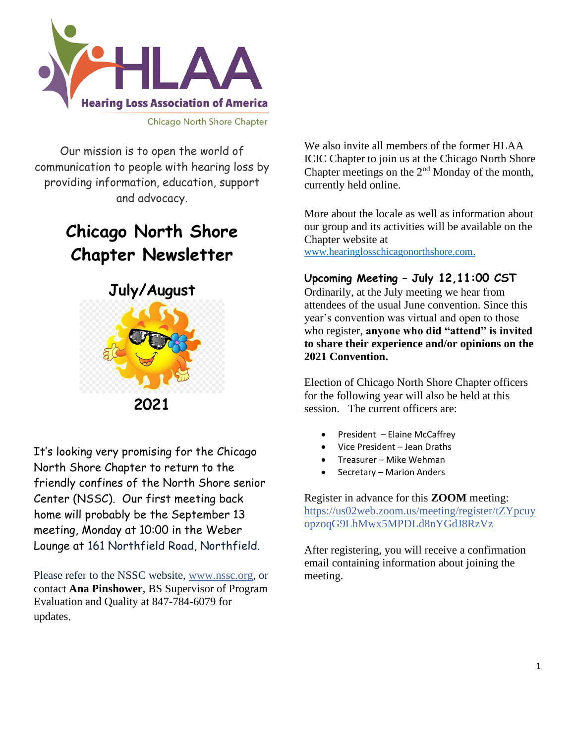

Our mission is to open the world of communication to people with hearing loss by providing information, education, support and advocacy.

# **Chicago North Shore Chapter Newsletter**



It's looking very promising for the Chicago North Shore Chapter to return to the friendly confines of the North Shore senior Center (NSSC). Our first meeting back home will probably be the September 13 meeting, Monday at 10:00 in the Weber Lounge at 161 Northfield Road, Northfield.

Please refer to the NSSC website, [www.nssc.org,](http://www.nssc.org/) or contact **Ana Pinshower**, BS Supervisor of Program Evaluation and Quality at 847-784-6079 for updates.

We also invite all members of the former HLAA ICIC Chapter to join us at the Chicago North Shore Chapter meetings on the  $2<sup>nd</sup>$  Monday of the month, currently held online.

More about the locale as well as information about our group and its activities will be available on the Chapter website at [www.hearinglosschicagonorthshore.com.](http://www.hearinglosschicagonorthshore.com/)

### **Upcoming Meeting – July 12,11:00 CST**

Ordinarily, at the July meeting we hear from attendees of the usual June convention. Since this year's convention was virtual and open to those who register, **anyone who did "attend" is invited to share their experience and/or opinions on the 2021 Convention.** 

Election of Chicago North Shore Chapter officers for the following year will also be held at this session. The current officers are:

- President Elaine McCaffrey
- Vice President Jean Draths
- Treasurer Mike Wehman
- Secretary Marion Anders

Register in advance for this **ZOOM** meeting: [https://us02web.zoom.us/meeting/register/tZYpcuy](https://us02web.zoom.us/meeting/register/tZYpcuyopzoqG9LhMwx5MPDLd8nYGdJ8RzVz) [opzoqG9LhMwx5MPDLd8nYGdJ8RzVz](https://us02web.zoom.us/meeting/register/tZYpcuyopzoqG9LhMwx5MPDLd8nYGdJ8RzVz)

After registering, you will receive a confirmation email containing information about joining the meeting.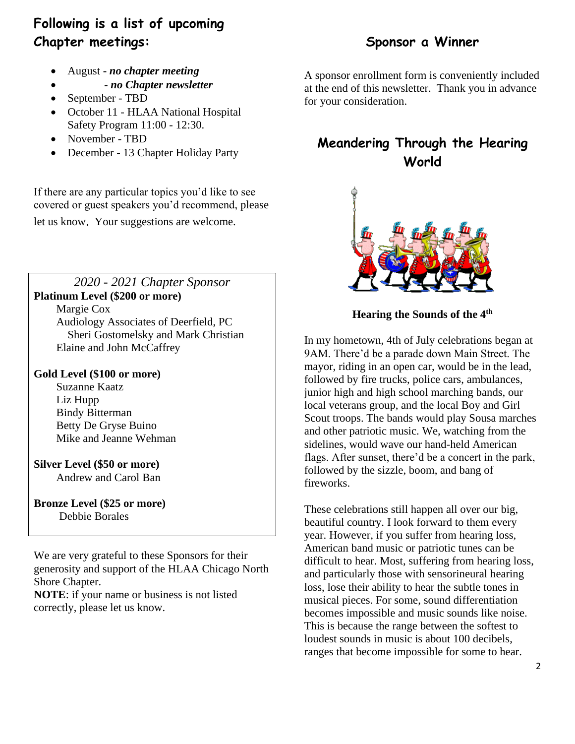# **Following is a list of upcoming Chapter meetings:**

- August **-** *no chapter meeting*
- • *- no Chapter newsletter*
- September TBD
- October 11 HLAA National Hospital Safety Program 11:00 - 12:30.
- November TBD
- December 13 Chapter Holiday Party

If there are any particular topics you'd like to see covered or guest speakers you'd recommend, please

let us know. Your suggestions are welcome.

*2020 - 2021 Chapter Sponsor* **Platinum Level (\$200 or more)**

Margie Cox

 Audiology Associates of Deerfield, PC Sheri Gostomelsky and Mark Christian Elaine and John McCaffrey

#### **Gold Level (\$100 or more)**

 Suzanne Kaatz Liz Hupp Bindy Bitterman Betty De Gryse Buino Mike and Jeanne Wehman

**Silver Level (\$50 or more)** Andrew and Carol Ban

**Bronze Level (\$25 or more)** Debbie Borales

We are very grateful to these Sponsors for their generosity and support of the HLAA Chicago North Shore Chapter.

**NOTE**: if your name or business is not listed correctly, please let us know.

## **Sponsor a Winner**

A sponsor enrollment form is conveniently included at the end of this newsletter. Thank you in advance for your consideration.

## **Meandering Through the Hearing World**



**Hearing the Sounds of the 4th** 

In my hometown, 4th of July celebrations began at 9AM. There'd be a parade down Main Street. The mayor, riding in an open car, would be in the lead, followed by fire trucks, police cars, ambulances, junior high and high school marching bands, our local veterans group, and the local Boy and Girl Scout troops. The bands would play Sousa marches and other patriotic music. We, watching from the sidelines, would wave our hand-held American flags. After sunset, there'd be a concert in the park, followed by the sizzle, boom, and bang of fireworks.

These celebrations still happen all over our big, beautiful country. I look forward to them every year. However, if you suffer from hearing loss, American band music or patriotic tunes can be difficult to hear. Most, suffering from hearing loss, and particularly those with sensorineural hearing loss, lose their ability to hear the subtle tones in musical pieces. For some, sound differentiation becomes impossible and music sounds like noise. This is because the range between the softest to loudest sounds in music is about 100 decibels, ranges that become impossible for some to hear.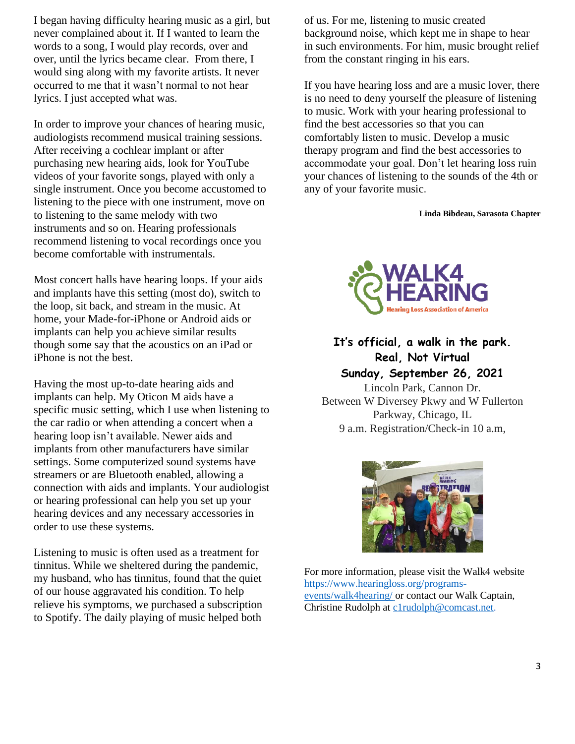I began having difficulty hearing music as a girl, but never complained about it. If I wanted to learn the words to a song, I would play records, over and over, until the lyrics became clear. From there, I would sing along with my favorite artists. It never occurred to me that it wasn't normal to not hear lyrics. I just accepted what was.

In order to improve your chances of hearing music, audiologists recommend musical training sessions. After receiving a cochlear implant or after purchasing new hearing aids, look for YouTube videos of your favorite songs, played with only a single instrument. Once you become accustomed to listening to the piece with one instrument, move on to listening to the same melody with two instruments and so on. Hearing professionals recommend listening to vocal recordings once you become comfortable with instrumentals.

Most concert halls have hearing loops. If your aids and implants have this setting (most do), switch to the loop, sit back, and stream in the music. At home, your Made-for-iPhone or Android aids or implants can help you achieve similar results though some say that the acoustics on an iPad or iPhone is not the best.

Having the most up-to-date hearing aids and implants can help. My Oticon M aids have a specific music setting, which I use when listening to the car radio or when attending a concert when a hearing loop isn't available. Newer aids and implants from other manufacturers have similar settings. Some computerized sound systems have streamers or are Bluetooth enabled, allowing a connection with aids and implants. Your audiologist or hearing professional can help you set up your hearing devices and any necessary accessories in order to use these systems.

Listening to music is often used as a treatment for tinnitus. While we sheltered during the pandemic, my husband, who has tinnitus, found that the quiet of our house aggravated his condition. To help relieve his symptoms, we purchased a subscription to Spotify. The daily playing of music helped both

of us. For me, listening to music created background noise, which kept me in shape to hear in such environments. For him, music brought relief from the constant ringing in his ears.

If you have hearing loss and are a music lover, there is no need to deny yourself the pleasure of listening to music. Work with your hearing professional to find the best accessories so that you can comfortably listen to music. Develop a music therapy program and find the best accessories to accommodate your goal. Don't let hearing loss ruin your chances of listening to the sounds of the 4th or any of your favorite music.

**Linda Bibdeau, Sarasota Chapter**



## **It's official, a walk in the park. Real, Not Virtual Sunday, September 26, 2021**

Lincoln Park, Cannon Dr. Between W Diversey Pkwy and W Fullerton Parkway, Chicago, IL 9 a.m. Registration/Check-in 10 a.m,



For more information, please visit the Walk4 website [https://www.hearingloss.org/programs](https://www.hearingloss.org/programs-events/walk4hearing/)[events/walk4hearing/](https://www.hearingloss.org/programs-events/walk4hearing/) or contact our Walk Captain, Christine Rudolph at [c1rudolph@comcast.net.](mailto:c1rudolph@comcast.net)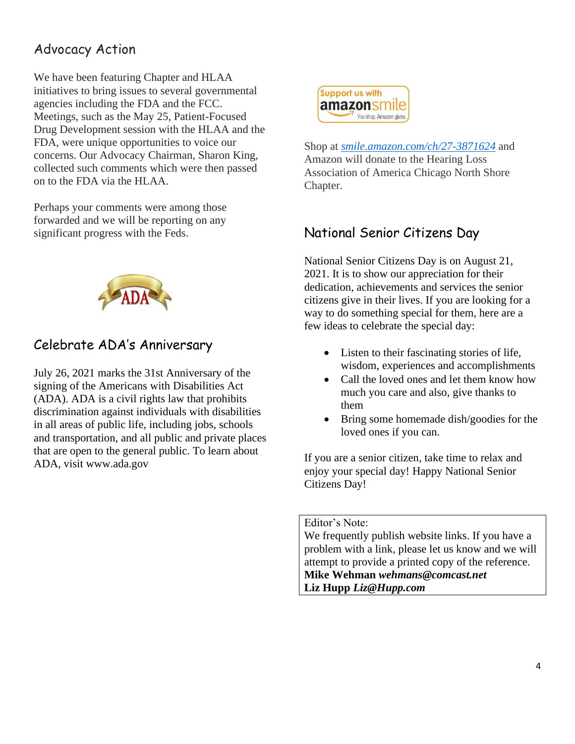## Advocacy Action

We have been featuring Chapter and HLAA initiatives to bring issues to several governmental agencies including the FDA and the FCC. Meetings, such as the May 25, Patient-Focused Drug Development session with the HLAA and the FDA, were unique opportunities to voice our concerns. Our Advocacy Chairman, Sharon King, collected such comments which were then passed on to the FDA via the HLAA.

Perhaps your comments were among those forwarded and we will be reporting on any significant progress with the Feds.



## Celebrate ADA's Anniversary

July 26, 2021 marks the 31st Anniversary of the signing of the Americans with Disabilities Act (ADA). ADA is a civil rights law that prohibits discrimination against individuals with disabilities in all areas of public life, including jobs, schools and transportation, and all public and private places that are open to the general public. To learn about ADA, visit www.ada.gov



Shop at *[smile.amazon.com/ch/27-3871624](https://smile.amazon.com/gp/f.html?C=1ISN78MKH9BO5&K=335GHMLLUNWPP&M=urn:rtn:msg:201711261709243e998692f70f4f958c3b0d8c4fc0p0na&R=2QXN90TCYDI2Y&T=C&U=http%3A%2F%2Fsmile.amazon.com%2Fch%2F27-3871624&H=TGCVNDHNIX5ZIRJTWBNLXG15NMOA)* and Amazon will donate to the Hearing Loss Association of America Chicago North Shore Chapter.

## National Senior Citizens Day

National Senior Citizens Day is on August 21, 2021. It is to show our appreciation for their dedication, achievements and services the senior citizens give in their lives. If you are looking for a way to do something special for them, here are a few ideas to celebrate the special day:

- Listen to their fascinating stories of life, wisdom, experiences and accomplishments
- Call the loved ones and let them know how much you care and also, give thanks to them
- Bring some homemade dish/goodies for the loved ones if you can.

If you are a senior citizen, take time to relax and enjoy your special day! Happy National Senior Citizens Day!

Editor's Note:

We frequently publish website links. If you have a problem with a link, please let us know and we will attempt to provide a printed copy of the reference. **Mike Wehman** *[wehmans@comcast.net](mailto:wehmans@comcast.net)* **Liz Hupp** *Liz@Hupp.com*